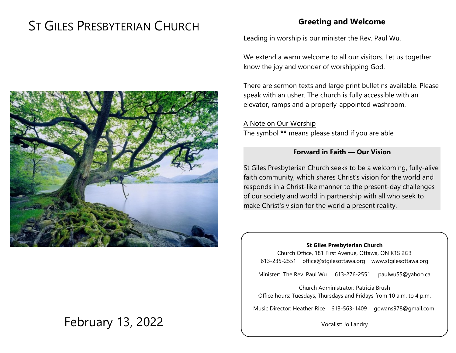# ST GILES PRESBYTERIAN CHURCH

## **Greeting and Welcome**

Leading in worship is our minister the Rev. Paul Wu.

We extend a warm welcome to all our visitors. Let us together know the joy and wonder of worshipping God.

There are sermon texts and large print bulletins available. Please speak with an usher. The church is fully accessible with an elevator, ramps and a properly-appointed washroom.

A Note on Our Worship The symbol **\*\*** means please stand if you are able

#### **Forward in Faith — Our Vision**

St Giles Presbyterian Church seeks to be a welcoming, fully-alive faith community, which shares Christ's vision for the world and responds in a Christ-like manner to the present-day challenges of our society and world in partnership with all who seek to make Christ's vision for the world a present reality.

#### **St Giles Presbyterian Church**

Church Office, 181 First Avenue, Ottawa, ON K1S 2G3 613-235-2551 office@stgilesottawa.org www.stgilesottawa.org

Minister: The Rev. Paul Wu 613-276-2551 paulwu55@yahoo.ca

Church Administrator: Patricia Brush Office hours: Tuesdays, Thursdays and Fridays from 10 a.m. to 4 p.m.

Music Director: Heather Rice 613-563-1409 gowans978@gmail.com

Vocalist: Jo Landry



# February 13, 2022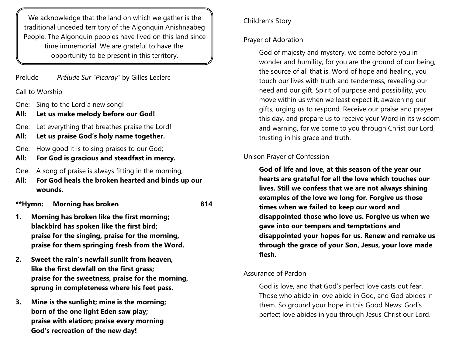We acknowledge that the land on which we gather is the traditional unceded territory of the Algonquin Anishnaabeg People. The Algonquin peoples have lived on this land since time immemorial. We are grateful to have the opportunity to be present in this territory.

Prelude *Prélude Sur "Picardy"* by Gilles Leclerc

Call to Worship

- One: Sing to the Lord a new song!
- **All: Let us make melody before our God!**

One: Let everything that breathes praise the Lord!

- **All: Let us praise God's holy name together.**
- One: How good it is to sing praises to our God;
- **All: For God is gracious and steadfast in mercy.**
- One: A song of praise is always fitting in the morning,
- **All: For God heals the broken hearted and binds up our wounds.**

**\*\*Hymn: Morning has broken 814**

- **1. Morning has broken like the first morning; blackbird has spoken like the first bird; praise for the singing, praise for the morning, praise for them springing fresh from the Word.**
- **2. Sweet the rain's newfall sunlit from heaven, like the first dewfall on the first grass; praise for the sweetness, praise for the morning, sprung in completeness where his feet pass.**
- **3. Mine is the sunlight; mine is the morning; born of the one light Eden saw play; praise with elation; praise every morning God's recreation of the new day!**

# Children's Story

# Prayer of Adoration

God of majesty and mystery, we come before you in wonder and humility, for you are the ground of our being, the source of all that is. Word of hope and healing, you touch our lives with truth and tenderness, revealing our need and our gift. Spirit of purpose and possibility, you move within us when we least expect it, awakening our gifts, urging us to respond. Receive our praise and prayer this day, and prepare us to receive your Word in its wisdom and warning, for we come to you through Christ our Lord, trusting in his grace and truth.

### Unison Prayer of Confession

**God of life and love, at this season of the year our hearts are grateful for all the love which touches our lives. Still we confess that we are not always shining examples of the love we long for. Forgive us those times when we failed to keep our word and disappointed those who love us. Forgive us when we gave into our tempers and temptations and disappointed your hopes for us. Renew and remake us through the grace of your Son, Jesus, your love made flesh.**

Assurance of Pardon

God is love, and that God's perfect love casts out fear. Those who abide in love abide in God, and God abides in them. So ground your hope in this Good News: God's perfect love abides in you through Jesus Christ our Lord.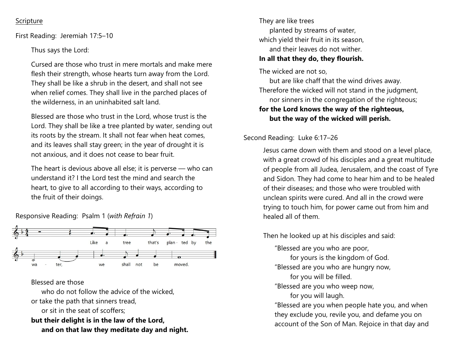#### **Scripture**

First Reading: Jeremiah 17:5–10

Thus says the Lord:

Cursed are those who trust in mere mortals and make mere flesh their strength, whose hearts turn away from the Lord. They shall be like a shrub in the desert, and shall not see when relief comes. They shall live in the parched places of the wilderness, in an uninhabited salt land.

Blessed are those who trust in the Lord, whose trust is the Lord. They shall be like a tree planted by water, sending out its roots by the stream. It shall not fear when heat comes, and its leaves shall stay green; in the year of drought it is not anxious, and it does not cease to bear fruit.

The heart is devious above all else; it is perverse — who can understand it? I the Lord test the mind and search the heart, to give to all according to their ways, according to the fruit of their doings.

Responsive Reading: Psalm 1 (*with Refrain 1*)



#### Blessed are those

who do not follow the advice of the wicked. or take the path that sinners tread, or sit in the seat of scoffers; **but their delight is in the law of the Lord, and on that law they meditate day and night.**

They are like trees planted by streams of water, which yield their fruit in its season, and their leaves do not wither. **In all that they do, they flourish.**

The wicked are not so,

but are like chaff that the wind drives away. Therefore the wicked will not stand in the judgment, nor sinners in the congregation of the righteous; **for the Lord knows the way of the righteous, but the way of the wicked will perish.**

Second Reading: Luke 6:17–26

Jesus came down with them and stood on a level place, with a great crowd of his disciples and a great multitude of people from all Judea, Jerusalem, and the coast of Tyre and Sidon. They had come to hear him and to be healed of their diseases; and those who were troubled with unclean spirits were cured. And all in the crowd were trying to touch him, for power came out from him and healed all of them.

Then he looked up at his disciples and said:

"Blessed are you who are poor,

for yours is the kingdom of God.

"Blessed are you who are hungry now,

for you will be filled.

"Blessed are you who weep now,

for you will laugh.

"Blessed are you when people hate you, and when they exclude you, revile you, and defame you on account of the Son of Man. Rejoice in that day and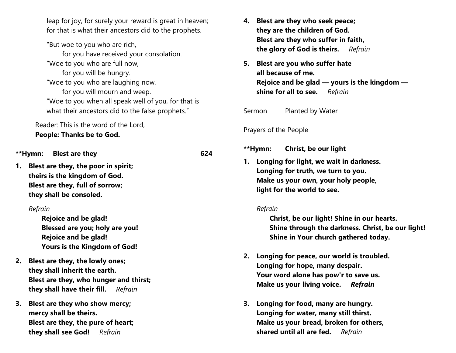leap for joy, for surely your reward is great in heaven; for that is what their ancestors did to the prophets.

"But woe to you who are rich,

for you have received your consolation. "Woe to you who are full now, for you will be hungry. "Woe to you who are laughing now, for you will mourn and weep. "Woe to you when all speak well of you, for that is

what their ancestors did to the false prophets."

Reader: This is the word of the Lord, **People: Thanks be to God.**

**\*\*Hymn: Blest are they 624**

**1. Blest are they, the poor in spirit; theirs is the kingdom of God. Blest are they, full of sorrow; they shall be consoled.**

#### *Refrain*

**Rejoice and be glad! Blessed are you; holy are you! Rejoice and be glad! Yours is the Kingdom of God!**

- **2. Blest are they, the lowly ones; they shall inherit the earth. Blest are they, who hunger and thirst; they shall have their fill.** *Refrain*
- **3. Blest are they who show mercy; mercy shall be theirs. Blest are they, the pure of heart; they shall see God!** *Refrain*
- **4. Blest are they who seek peace; they are the children of God. Blest are they who suffer in faith, the glory of God is theirs.** *Refrain*
- **5. Blest are you who suffer hate all because of me. Rejoice and be glad — yours is the kingdom shine for all to see.** *Refrain*

Sermon Planted by Water

Prayers of the People

**\*\*Hymn: Christ, be our light x**

**1. Longing for light, we wait in darkness. Longing for truth, we turn to you. Make us your own, your holy people, light for the world to see.**

#### *Refrain*

**Christ, be our light! Shine in our hearts. Shine through the darkness. Christ, be our light! Shine in Your church gathered today.**

- **2. Longing for peace, our world is troubled. Longing for hope, many despair. Your word alone has pow'r to save us. Make us your living voice.** *Refrain*
- **3. Longing for food, many are hungry. Longing for water, many still thirst. Make us your bread, broken for others, shared until all are fed.** *Refrain*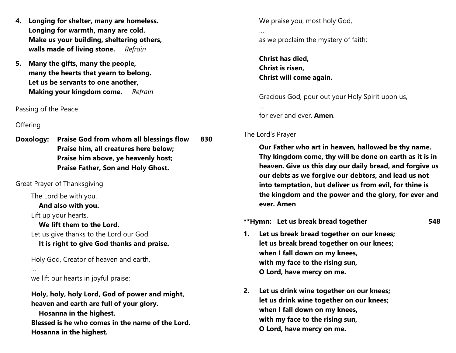- **4. Longing for shelter, many are homeless. Longing for warmth, many are cold. Make us your building, sheltering others, walls made of living stone.** *Refrain*
- **5. Many the gifts, many the people, many the hearts that yearn to belong. Let us be servants to one another, Making your kingdom come.** *Refrain*

Passing of the Peace

#### **Offering**

**Doxology: Praise God from whom all blessings flow 830 Praise him, all creatures here below; Praise him above, ye heavenly host; Praise Father, Son and Holy Ghost.**

Great Prayer of Thanksgiving

The Lord be with you.

**And also with you.**

Lift up your hearts.

**We lift them to the Lord.**

Let us give thanks to the Lord our God.

### **It is right to give God thanks and praise.**

Holy God, Creator of heaven and earth,

…

we lift our hearts in joyful praise:

**Holy, holy, holy Lord, God of power and might, heaven and earth are full of your glory.**

**Hosanna in the highest.**

**Blessed is he who comes in the name of the Lord. Hosanna in the highest.**

We praise you, most holy God,

as we proclaim the mystery of faith:

**Christ has died, Christ is risen, Christ will come again.**

Gracious God, pour out your Holy Spirit upon us,

for ever and ever. **Amen**.

## The Lord's Prayer

…

…

**Our Father who art in heaven, hallowed be thy name. Thy kingdom come, thy will be done on earth as it is in heaven. Give us this day our daily bread, and forgive us our debts as we forgive our debtors, and lead us not into temptation, but deliver us from evil, for thine is the kingdom and the power and the glory, for ever and ever. Amen**

**\*\*Hymn: Let us break bread together 548**

- **1. Let us break bread together on our knees; let us break bread together on our knees; when I fall down on my knees, with my face to the rising sun, O Lord, have mercy on me.**
- **2. Let us drink wine together on our knees; let us drink wine together on our knees; when I fall down on my knees, with my face to the rising sun, O Lord, have mercy on me.**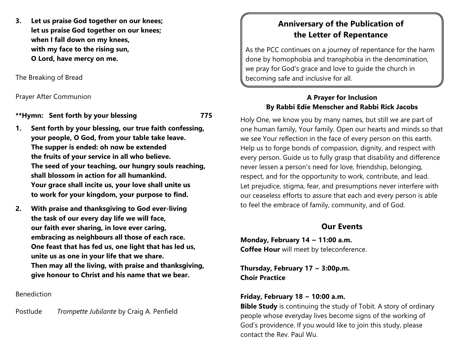**3. Let us praise God together on our knees; let us praise God together on our knees; when I fall down on my knees, with my face to the rising sun, O Lord, have mercy on me.**

The Breaking of Bread

Prayer After Communion

**\*\*Hymn: Sent forth by your blessing 775**

- **1. Sent forth by your blessing, our true faith confessing, your people, O God, from your table take leave. The supper is ended: oh now be extended the fruits of your service in all who believe. The seed of your teaching, our hungry souls reaching, shall blossom in action for all humankind. Your grace shall incite us, your love shall unite us to work for your kingdom, your purpose to find.**
- **2. With praise and thanksgiving to God ever-living the task of our every day life we will face, our faith ever sharing, in love ever caring, embracing as neighbours all those of each race. One feast that has fed us, one light that has led us, unite us as one in your life that we share. Then may all the living, with praise and thanksgiving, give honour to Christ and his name that we bear.**

Benediction

Postlude *Trompette Jubilante* by Craig A. Penfield

# **Anniversary of the Publication of the Letter of Repentance**

As the PCC continues on a journey of repentance for the harm done by homophobia and transphobia in the denomination, we pray for God's grace and love to guide the church in becoming safe and inclusive for all.

#### **A Prayer for Inclusion By Rabbi Edie Menscher and Rabbi Rick Jacobs**

Holy One, we know you by many names, but still we are part of one human family, Your family. Open our hearts and minds so that we see Your reflection in the face of every person on this earth. Help us to forge bonds of compassion, dignity, and respect with every person. Guide us to fully grasp that disability and difference never lessen a person's need for love, friendship, belonging, respect, and for the opportunity to work, contribute, and lead. Let prejudice, stigma, fear, and presumptions never interfere with our ceaseless efforts to assure that each and every person is able to feel the embrace of family, community, and of God.

# **Our Events**

**Monday, February 14 ~ 11:00 a.m. Coffee Hour** will meet by teleconference.

**Thursday, February 17 ~ 3:00p.m. Choir Practice**

### **Friday, February 18 ~ 10:00 a.m.**

**Bible Study** is continuing the study of Tobit. A story of ordinary people whose everyday lives become signs of the working of God's providence. If you would like to join this study, please contact the Rev. Paul Wu.